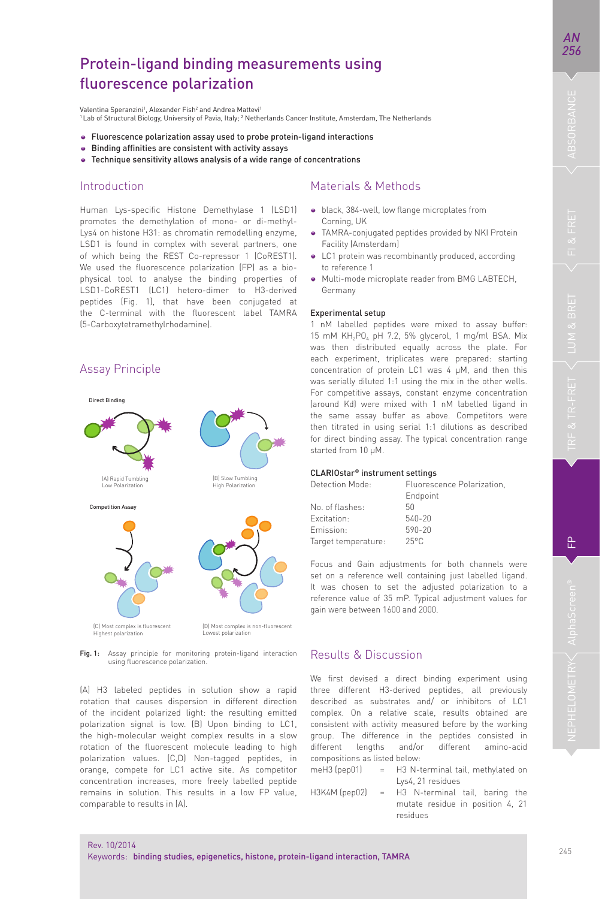욘

# Protein-ligand binding measurements using fluorescence polarization

Valentina Speranzini<sup>1</sup>, Alexander Fish<sup>2</sup> and Andrea Mattevi<sup>1</sup> <sup>1</sup> Lab of Structural Biology, University of Pavia, Italy; <sup>2</sup> Netherlands Cancer Institute, Amsterdam, The Netherlands

- Fluorescence polarization assay used to probe protein-ligand interactions
- **•** Binding affinities are consistent with activity assays
- Technique sensitivity allows analysis of a wide range of concentrations

### Introduction

Assay Principle

Human Lys-specific Histone Demethylase 1 (LSD1) promotes the demethylation of mono- or di-methyl-Lys4 on histone H31: as chromatin remodelling enzyme, LSD1 is found in complex with several partners, one of which being the REST Co-repressor 1 (CoREST1). We used the fluorescence polarization (FP) as a biophysical tool to analyse the binding properties of LSD1-CoREST1 (LC1) hetero-dimer to H3-derived peptides (Fig. 1), that have been conjugated at the C-terminal with the fluorescent label TAMRA (5-Carboxytetramethylrhodamine).

# Direct Binding Competition Assay (Δ) Rapid Tumb Low Polarization (B) Slow Tumbling **High Polarization**

(C) Most complex is fluorescent Highest polarization

(D) Most complex is non-fluorescent Lowest polarization

Fig. 1: Assay principle for monitoring protein-ligand interaction using fluorescence polarization

(A) H3 labeled peptides in solution show a rapid rotation that causes dispersion in different direction of the incident polarized light: the resulting emitted polarization signal is low. (B) Upon binding to LC1, the high-molecular weight complex results in a slow rotation of the fluorescent molecule leading to high polarization values. (C,D) Non-tagged peptides, in orange, compete for LC1 active site. As competitor concentration increases, more freely labelled peptide remains in solution. This results in a low FP value, comparable to results in (A).

# Materials & Methods

- $\bullet$  black, 384-well, low flange microplates from Corning, UK
- TAMRA-conjugated peptides provided by NKI Protein Facility (Amsterdam)
- LC1 protein was recombinantly produced, according to reference 1
- $\bullet$  Multi-mode microplate reader from BMG LABTECH, Germany

#### Experimental setup

1 nM labelled peptides were mixed to assay buffer:  $15$  mM  $KH_{2}PO_{4}$  pH  $7.2$ ,  $5\%$  glycerol, 1 mg/ml BSA. Mix was then distributed equally across the plate. For each experiment, triplicates were prepared: starting concentration of protein LC1 was 4 μM, and then this was serially diluted 1:1 using the mix in the other wells. For competitive assays, constant enzyme concentration (around Kd) were mixed with 1 nM labelled ligand in the same assay buffer as above. Competitors were then titrated in using serial 1:1 dilutions as described for direct binding assay. The typical concentration range started from 10 μM.

#### CLARIOstar® instrument settings

| Detection Mode:     | Fluorescence Polarization, |  |  |
|---------------------|----------------------------|--|--|
|                     | Endpoint                   |  |  |
| No. of flashes:     | 50                         |  |  |
| Excitation:         | 540-20                     |  |  |
| Fmission:           | 590-20                     |  |  |
| Target temperature: | $25^{\circ}$ C             |  |  |
|                     |                            |  |  |

Focus and Gain adjustments for both channels were set on a reference well containing just labelled ligand. It was chosen to set the adjusted polarization to a reference value of 35 mP. Typical adjustment values for gain were between 1600 and 2000.

# Results & Discussion

We first devised a direct binding experiment using three different H3-derived peptides, all previously described as substrates and/ or inhibitors of LC1 complex. On a relative scale, results obtained are consistent with activity measured before by the working group. The difference in the peptides consisted in different lengths and/or different amino-acid compositions as listed below:

- meH3 (pep01) = H3 N-terminal tail, methylated on Lys4, 21 residues
- H3K4M (pep02) = H3 N-terminal tail, baring the mutate residue in position 4, 21 residues